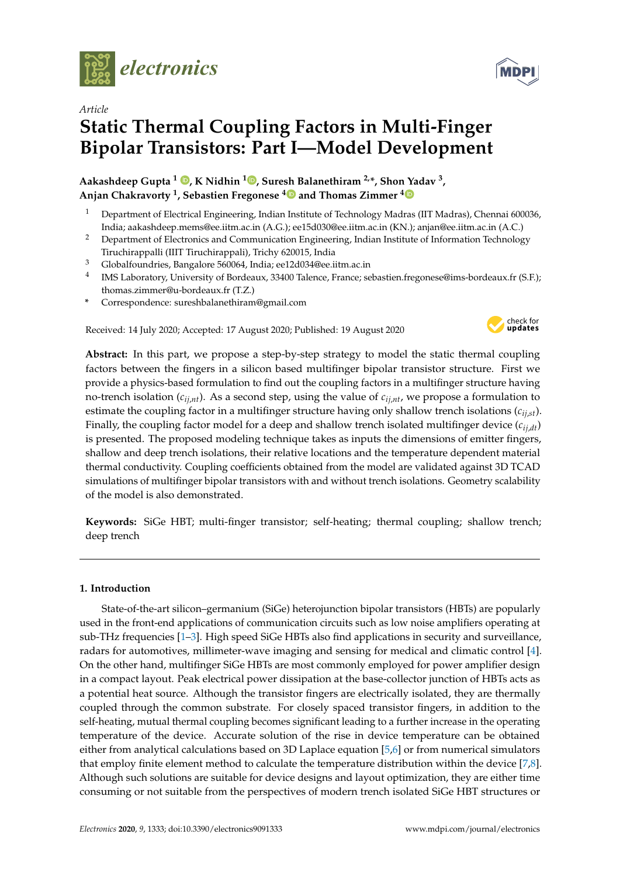

*Article*

# **Static Thermal Coupling Factors in Multi-Finger Bipolar Transistors: Part I—Model Development**

**Aakashdeep Gupta <sup>1</sup> , K Nidhin <sup>1</sup> , Suresh Balanethiram 2,\*, Shon Yadav <sup>3</sup> , Anjan Chakravorty <sup>1</sup> , Sebastien Fregonese <sup>4</sup> and Thomas Zimmer <sup>4</sup>**

- <sup>1</sup> Department of Electrical Engineering, Indian Institute of Technology Madras (IIT Madras), Chennai 600036, India; aakashdeep.mems@ee.iitm.ac.in (A.G.); ee15d030@ee.iitm.ac.in (KN.); anjan@ee.iitm.ac.in (A.C.)
- <sup>2</sup> Department of Electronics and Communication Engineering, Indian Institute of Information Technology Tiruchirappalli (IIIT Tiruchirappali), Trichy 620015, India
- <sup>3</sup> Globalfoundries, Bangalore 560064, India; ee12d034@ee.iitm.ac.in
- 4 IMS Laboratory, University of Bordeaux, 33400 Talence, France; sebastien.fregonese@ims-bordeaux.fr (S.F.); thomas.zimmer@u-bordeaux.fr (T.Z.)
- **\*** Correspondence: sureshbalanethiram@gmail.com

Received: 14 July 2020; Accepted: 17 August 2020; Published: 19 August 2020



**Abstract:** In this part, we propose a step-by-step strategy to model the static thermal coupling factors between the fingers in a silicon based multifinger bipolar transistor structure. First we provide a physics-based formulation to find out the coupling factors in a multifinger structure having no-trench isolation (*cij*,*nt*). As a second step, using the value of *cij*,*nt*, we propose a formulation to estimate the coupling factor in a multifinger structure having only shallow trench isolations (*cij*,*st*). Finally, the coupling factor model for a deep and shallow trench isolated multifinger device  $(c_{i,dt})$ is presented. The proposed modeling technique takes as inputs the dimensions of emitter fingers, shallow and deep trench isolations, their relative locations and the temperature dependent material thermal conductivity. Coupling coefficients obtained from the model are validated against 3D TCAD simulations of multifinger bipolar transistors with and without trench isolations. Geometry scalability of the model is also demonstrated.

**Keywords:** SiGe HBT; multi-finger transistor; self-heating; thermal coupling; shallow trench; deep trench

## **1. Introduction**

State-of-the-art silicon–germanium (SiGe) heterojunction bipolar transistors (HBTs) are popularly used in the front-end applications of communication circuits such as low noise amplifiers operating at sub-THz frequencies [1–3]. High speed SiGe HBTs also find applications in security and surveillance, radars for automotives, millimeter-wave imaging and sensing for medical and climatic control [4]. On the other hand, multifinger SiGe HBTs are most commonly employed for power amplifier design in a compact layout. Peak electrical power dissipation at the base-collector junction of HBTs acts as a potential heat source. Although the transistor fingers are electrically isolated, they are thermally coupled through the common substrate. For closely spaced transistor fingers, in addition to the self-heating, mutual thermal coupling becomes significant leading to a further increase in the operating temperature of the device. Accurate solution of the rise in device temperature can be obtained either from analytical calculations based on 3D Laplace equation [5,6] or from numerical simulators that employ finite element method to calculate the temperature distribution within the device [7,8]. Although such solutions are suitable for device designs and layout optimization, they are either time consuming or not suitable from the perspectives of modern trench isolated SiGe HBT structures or

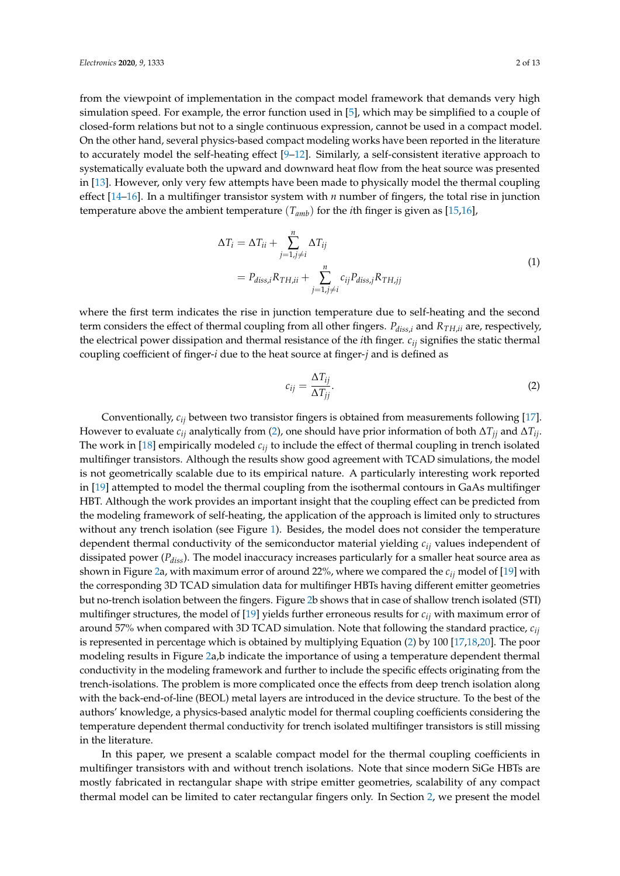from the viewpoint of implementation in the compact model framework that demands very high simulation speed. For example, the error function used in [5], which may be simplified to a couple of closed-form relations but not to a single continuous expression, cannot be used in a compact model. On the other hand, several physics-based compact modeling works have been reported in the literature to accurately model the self-heating effect [9–12]. Similarly, a self-consistent iterative approach to systematically evaluate both the upward and downward heat flow from the heat source was presented in [13]. However, only very few attempts have been made to physically model the thermal coupling effect [14–16]. In a multifinger transistor system with *n* number of fingers, the total rise in junction temperature above the ambient temperature  $(T_{amb})$  for the *i*th finger is given as [15,16],

$$
\Delta T_i = \Delta T_{ii} + \sum_{j=1, j \neq i}^{n} \Delta T_{ij}
$$
  
=  $P_{diss,i}R_{TH,ii} + \sum_{j=1, j \neq i}^{n} c_{ij}P_{diss,j}R_{TH,jj}$  (1)

where the first term indicates the rise in junction temperature due to self-heating and the second term considers the effect of thermal coupling from all other fingers. *Pdiss*,*<sup>i</sup>* and *RTH*,*ii* are, respectively, the electrical power dissipation and thermal resistance of the *i*th finger. *cij* signifies the static thermal coupling coefficient of finger-*i* due to the heat source at finger-*j* and is defined as

$$
c_{ij} = \frac{\Delta T_{ij}}{\Delta T_{jj}}.\tag{2}
$$

Conventionally, *cij* between two transistor fingers is obtained from measurements following [17]. However to evaluate  $c_i$  analytically from (2), one should have prior information of both  $\Delta T_{ij}$  and  $\Delta T_{ij}$ . The work in [18] empirically modeled *cij* to include the effect of thermal coupling in trench isolated multifinger transistors. Although the results show good agreement with TCAD simulations, the model is not geometrically scalable due to its empirical nature. A particularly interesting work reported in [19] attempted to model the thermal coupling from the isothermal contours in GaAs multifinger HBT. Although the work provides an important insight that the coupling effect can be predicted from the modeling framework of self-heating, the application of the approach is limited only to structures without any trench isolation (see Figure 1). Besides, the model does not consider the temperature dependent thermal conductivity of the semiconductor material yielding *cij* values independent of dissipated power (*Pdiss*). The model inaccuracy increases particularly for a smaller heat source area as shown in Figure 2a, with maximum error of around 22%, where we compared the *cij* model of [19] with the corresponding 3D TCAD simulation data for multifinger HBTs having different emitter geometries but no-trench isolation between the fingers. Figure 2b shows that in case of shallow trench isolated (STI) multifinger structures, the model of [19] yields further erroneous results for *cij* with maximum error of around 57% when compared with 3D TCAD simulation. Note that following the standard practice, *cij* is represented in percentage which is obtained by multiplying Equation (2) by 100 [17,18,20]. The poor modeling results in Figure 2a,b indicate the importance of using a temperature dependent thermal conductivity in the modeling framework and further to include the specific effects originating from the trench-isolations. The problem is more complicated once the effects from deep trench isolation along with the back-end-of-line (BEOL) metal layers are introduced in the device structure. To the best of the authors' knowledge, a physics-based analytic model for thermal coupling coefficients considering the temperature dependent thermal conductivity for trench isolated multifinger transistors is still missing in the literature.

In this paper, we present a scalable compact model for the thermal coupling coefficients in multifinger transistors with and without trench isolations. Note that since modern SiGe HBTs are mostly fabricated in rectangular shape with stripe emitter geometries, scalability of any compact thermal model can be limited to cater rectangular fingers only. In Section 2, we present the model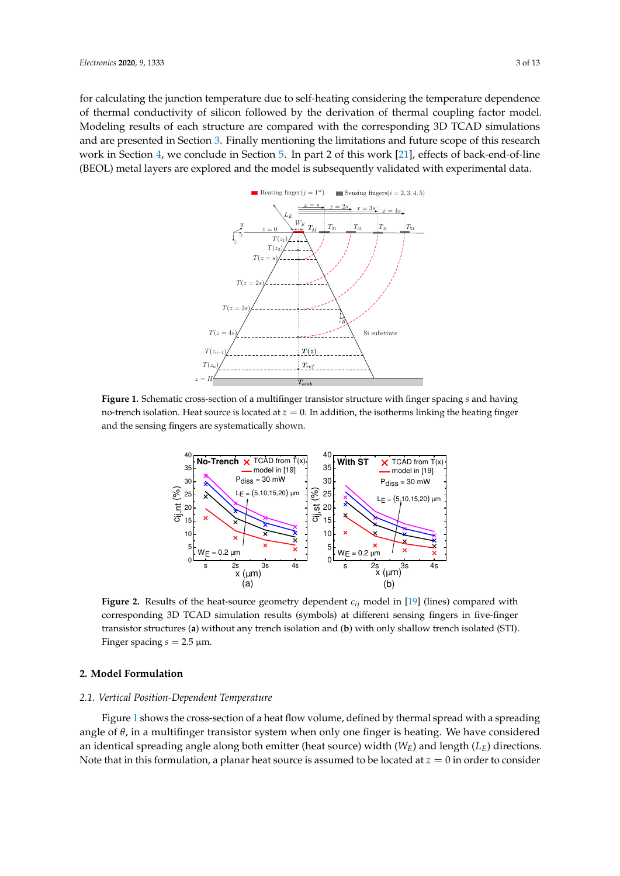for calculating the junction temperature due to self-heating considering the temperature dependence of thermal conductivity of silicon followed by the derivation of thermal coupling factor model. Modeling results of each structure are compared with the corresponding 3D TCAD simulations and are presented in Section 3. Finally mentioning the limitations and future scope of this research work in Section 4, we conclude in Section 5. In part 2 of this work [21], effects of back-end-of-line (BEOL) metal layers are explored and the model is subsequently validated with experimental data.



**Figure 1.** Schematic cross-section of a multifinger transistor structure with finger spacing *s* and having no-trench isolation. Heat source is located at  $z = 0$ . In addition, the isotherms linking the heating finger and the sensing fingers are systematically shown.



**Figure 2.** Results of the heat-source geometry dependent  $c_{ij}$  model in [19] (lines) compared with corresponding 3D TCAD simulation results (symbols) at different sensing fingers in five-finger transistor structures (**a**) without any trench isolation and (**b**) with only shallow trench isolated (STI). Finger spacing  $s = 2.5 \text{ }\mu\text{m}$ .

## **2. Model Formulation**

# *2.1. Vertical Position-Dependent Temperature*

Figure 1 shows the cross-section of a heat flow volume, defined by thermal spread with a spreading angle of *θ*, in a multifinger transistor system when only one finger is heating. We have considered an identical spreading angle along both emitter (heat source) width  $(W_F)$  and length  $(L_F)$  directions. Note that in this formulation, a planar heat source is assumed to be located at *z* = 0 in order to consider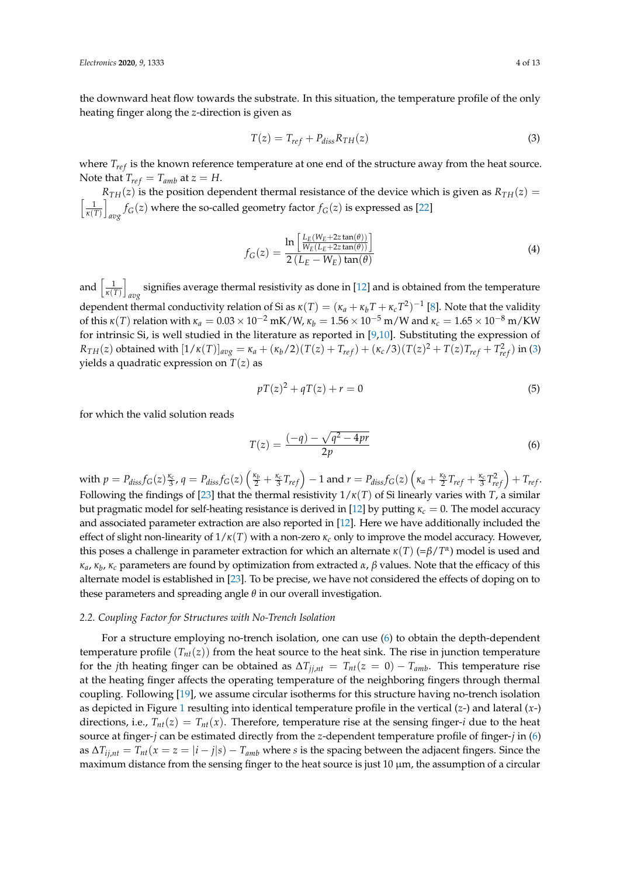the downward heat flow towards the substrate. In this situation, the temperature profile of the only heating finger along the *z*-direction is given as

$$
T(z) = T_{ref} + P_{diss} R_{TH}(z)
$$
\n(3)

where  $T_{ref}$  is the known reference temperature at one end of the structure away from the heat source. Note that  $T_{ref} = T_{amb}$  at  $z = H$ .

 $R_{TH}(z)$  is the position dependent thermal resistance of the device which is given as  $R_{TH}(z)$  =  $\left[\frac{1}{\kappa(T)}\right]$  $\int_{avg}$   $f_G(z)$  where the so-called geometry factor  $f_G(z)$  is expressed as [22]

$$
f_G(z) = \frac{\ln\left[\frac{L_E(W_E + 2z\tan(\theta))}{W_E(L_E + 2z\tan(\theta))}\right]}{2\left(L_E - W_E\right)\tan(\theta)}\tag{4}
$$

and  $\left[\frac{1}{\kappa(T)}\right]$ *avg* signifies average thermal resistivity as done in [12] and is obtained from the temperature dependent thermal conductivity relation of Si as  $\kappa(T) = (\kappa_a + \kappa_b T + \kappa_c T^2)^{-1}$  [8]. Note that the validity of this  $\kappa(T)$  relation with  $\kappa_a = 0.03 \times 10^{-2}$  mK/W,  $\kappa_b = 1.56 \times 10^{-5}$  m/W and  $\kappa_c = 1.65 \times 10^{-8}$  m/KW for intrinsic Si, is well studied in the literature as reported in [9,10]. Substituting the expression of  $R_{TH}(z)$  obtained with  $[1/\kappa(T)]_{avg} = \kappa_a + (\kappa_b/2)(T(z) + T_{ref}) + (\kappa_c/3)(T(z)^2 + T(z)T_{ref} + T_{ref}^2)$  in (3) yields a quadratic expression on  $T(z)$  as

$$
pT(z)^{2} + qT(z) + r = 0
$$
\n(5)

for which the valid solution reads

$$
T(z) = \frac{(-q) - \sqrt{q^2 - 4pr}}{2p} \tag{6}
$$

with  $p=P_{diss}f_G(z)\frac{\kappa_c}{3}$ ,  $q=P_{diss}f_G(z)\left(\frac{\kappa_b}{2}+\frac{\kappa_c}{3}T_{ref}\right)-1$  and  $r=P_{diss}f_G(z)\left(\kappa_a+\frac{\kappa_b}{2}T_{ref}+\frac{\kappa_c}{3}T_{ref}^2\right)+T_{ref}.$ Following the findings of [23] that the thermal resistivity 1/*κ*(*T*) of Si linearly varies with *T*, a similar but pragmatic model for self-heating resistance is derived in [12] by putting *κ<sup>c</sup>* = 0. The model accuracy and associated parameter extraction are also reported in [12]. Here we have additionally included the effect of slight non-linearity of 1/*κ*(*T*) with a non-zero *κ<sup>c</sup>* only to improve the model accuracy. However, this poses a challenge in parameter extraction for which an alternate  $\kappa(T)$  (= $\beta/T^{\alpha}$ ) model is used and *κa*, *κ<sup>b</sup>* , *κ<sup>c</sup>* parameters are found by optimization from extracted *α*, *β* values. Note that the efficacy of this alternate model is established in [23]. To be precise, we have not considered the effects of doping on to these parameters and spreading angle *θ* in our overall investigation.

#### *2.2. Coupling Factor for Structures with No-Trench Isolation*

For a structure employing no-trench isolation, one can use (6) to obtain the depth-dependent temperature profile  $(T_{nt}(z))$  from the heat source to the heat sink. The rise in junction temperature for the *j*th heating finger can be obtained as  $\Delta T_{j,j,n} = T_{nt}(z=0) - T_{amb}$ . This temperature rise at the heating finger affects the operating temperature of the neighboring fingers through thermal coupling. Following [19], we assume circular isotherms for this structure having no-trench isolation as depicted in Figure 1 resulting into identical temperature profile in the vertical (*z*-) and lateral (*x*-) directions, i.e.,  $T_{nt}(z) = T_{nt}(x)$ . Therefore, temperature rise at the sensing finger-*i* due to the heat source at finger-*j* can be estimated directly from the *z*-dependent temperature profile of finger-*j* in (6) as  $\Delta T_{i,j,n} = T_{n}t(x = z = |i - j|s) - T_{amb}$  where *s* is the spacing between the adjacent fingers. Since the maximum distance from the sensing finger to the heat source is just  $10 \mu m$ , the assumption of a circular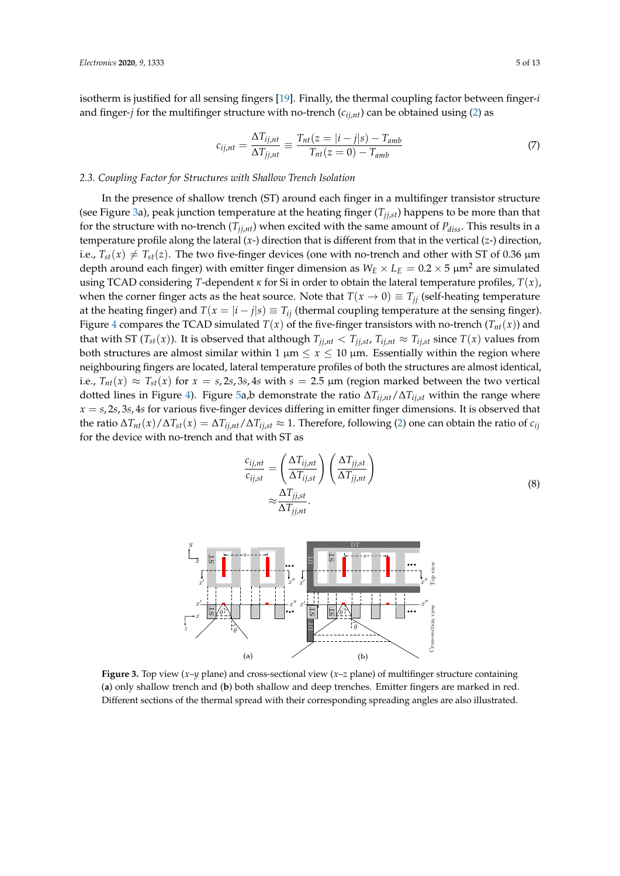isotherm is justified for all sensing fingers [19]. Finally, the thermal coupling factor between finger-*i* and finger-*j* for the multifinger structure with no-trench (*cij*,*nt*) can be obtained using (2) as

$$
c_{ij,nt} = \frac{\Delta T_{ij,nt}}{\Delta T_{jj,nt}} \equiv \frac{T_{nt}(z = |i - j|s) - T_{amb}}{T_{nt}(z = 0) - T_{amb}}
$$
\n
$$
(7)
$$

#### *2.3. Coupling Factor for Structures with Shallow Trench Isolation*

5V θ

 $_{x}$ 

 $\boldsymbol{x}$ 

z

 $\scriptstyle{y}$ 

 $_{x}$ 

 $_{x}$ 

 $E$ 

θ

 $(a)$ 

In the presence of shallow trench (ST) around each finger in a multifinger transistor structure (see Figure 3a), peak junction temperature at the heating finger (*Tjj*,*st*) happens to be more than that for the structure with no-trench  $(T_{ij,nt})$  when excited with the same amount of  $P_{diss}$ . This results in a temperature profile along the lateral (*x*-) direction that is different from that in the vertical (*z*-) direction, i.e.,  $T_{st}(x) \neq T_{st}(z)$ . The two five-finger devices (one with no-trench and other with ST of 0.36  $\mu$ m depth around each finger) with emitter finger dimension as  $W_E \times L_E = 0.2 \times 5 \mu m^2$  are simulated using TCAD considering *T*-dependent *κ* for Si in order to obtain the lateral temperature profiles, *T*(*x*), when the corner finger acts as the heat source. Note that  $T(x \to 0) \equiv T_{jj}$  (self-heating temperature at the heating finger) and  $T(x = |i - j|s) \equiv T_{ij}$  (thermal coupling temperature at the sensing finger). Figure 4 compares the TCAD simulated  $T(x)$  of the five-finger transistors with no-trench  $(T_{nt}(x))$  and that with ST  $(T_{st}(x))$ . It is observed that although  $T_{ij,nt} < T_{ij,st}$ ,  $T_{ij,nt} \approx T_{ij,st}$  since  $T(x)$  values from both structures are almost similar within 1  $\mu$ m  $\leq x \leq 10 \mu$ m. Essentially within the region where neighbouring fingers are located, lateral temperature profiles of both the structures are almost identical, i.e.,  $T_{nt}(x) \approx T_{st}(x)$  for  $x = s$ , 2*s*, 3*s*, 4*s* with  $s = 2.5 \mu$ m (region marked between the two vertical dotted lines in Figure 4). Figure 5a,b demonstrate the ratio  $\Delta T_{i,jnt}/\Delta T_{i,j,t}$  within the range where *x* = *s*, 2*s*, 3*s*, 4*s* for various five-finger devices differing in emitter finger dimensions. It is observed that the ratio ∆*Tnt*(*x*)/∆*Tst*(*x*) = ∆*Tij*,*nt*/∆*Tij*,*st* ≈ 1. Therefore, following (2) one can obtain the ratio of *cij* for the device with no-trench and that with ST as

$$
\frac{c_{ij,nt}}{c_{ij,st}} = \left(\frac{\Delta T_{ij,nt}}{\Delta T_{ij,st}}\right) \left(\frac{\Delta T_{jj,st}}{\Delta T_{jj,nt}}\right)
$$
\n
$$
\approx \frac{\Delta T_{jj,st}}{\Delta T_{jj,nt}}.
$$
\n(8)

Top view

bbb

 $\boldsymbol{\varUpsilon}$ ′′

 $\boldsymbol{x}$ ′′

Cross-section view



θ θ

 $(b)$ 

boo is in it is in the international formulation of the international formulation in the international formula

DT

s

 $\bullet\bullet$ 

 $_{x}$  $_{x}$ 

 $_{x}$  $\boldsymbol{x}$  ET

DT

 $51$ 

 $\frac{1}{\sqrt{2}}$  ST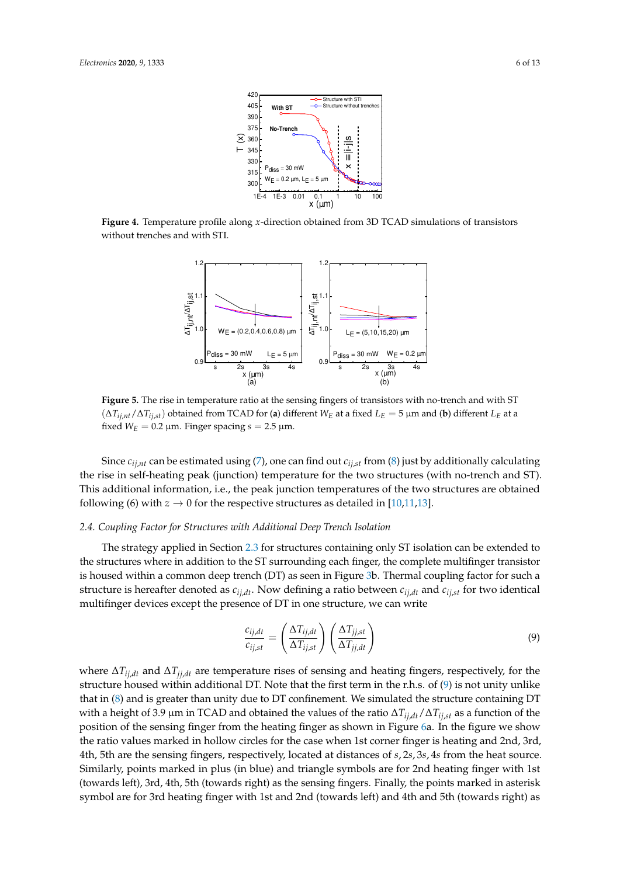

**Figure 4.** Temperature profile along *x*-direction obtained from 3D TCAD simulations of transistors without trenches and with STI.



**Figure 5.** The rise in temperature ratio at the sensing fingers of transistors with no-trench and with ST  $(\Delta T_{i,jnt}/\Delta T_{i,jst})$  obtained from TCAD for (a) different  $W_E$  at a fixed  $L_E = 5 \mu m$  and (b) different  $L_E$  at a fixed  $W_E = 0.2 \mu m$ . Finger spacing  $s = 2.5 \mu m$ .

Since  $c_{ij,nt}$  can be estimated using (7), one can find out  $c_{ij,st}$  from (8) just by additionally calculating the rise in self-heating peak (junction) temperature for the two structures (with no-trench and ST). This additional information, i.e., the peak junction temperatures of the two structures are obtained following (6) with  $z \to 0$  for the respective structures as detailed in [10,11,13].

## *2.4. Coupling Factor for Structures with Additional Deep Trench Isolation*

The strategy applied in Section 2.3 for structures containing only ST isolation can be extended to the structures where in addition to the ST surrounding each finger, the complete multifinger transistor is housed within a common deep trench (DT) as seen in Figure 3b. Thermal coupling factor for such a structure is hereafter denoted as *cij*,*dt*. Now defining a ratio between *cij*,*dt* and *cij*,*st* for two identical multifinger devices except the presence of DT in one structure, we can write

$$
\frac{c_{ij,dt}}{c_{ij,st}} = \left(\frac{\Delta T_{ij,dt}}{\Delta T_{ij,st}}\right) \left(\frac{\Delta T_{jj,st}}{\Delta T_{jj,dt}}\right)
$$
(9)

where ∆*Tij*,*dt* and ∆*Tjj*,*dt* are temperature rises of sensing and heating fingers, respectively, for the structure housed within additional DT. Note that the first term in the r.h.s. of (9) is not unity unlike that in (8) and is greater than unity due to DT confinement. We simulated the structure containing DT with a height of 3.9 μm in TCAD and obtained the values of the ratio  $\Delta T_{i, i, d} / \Delta T_{i, s}$  as a function of the position of the sensing finger from the heating finger as shown in Figure 6a. In the figure we show the ratio values marked in hollow circles for the case when 1st corner finger is heating and 2nd, 3rd, 4th, 5th are the sensing fingers, respectively, located at distances of *s*, 2*s*, 3*s*, 4*s* from the heat source. Similarly, points marked in plus (in blue) and triangle symbols are for 2nd heating finger with 1st (towards left), 3rd, 4th, 5th (towards right) as the sensing fingers. Finally, the points marked in asterisk symbol are for 3rd heating finger with 1st and 2nd (towards left) and 4th and 5th (towards right) as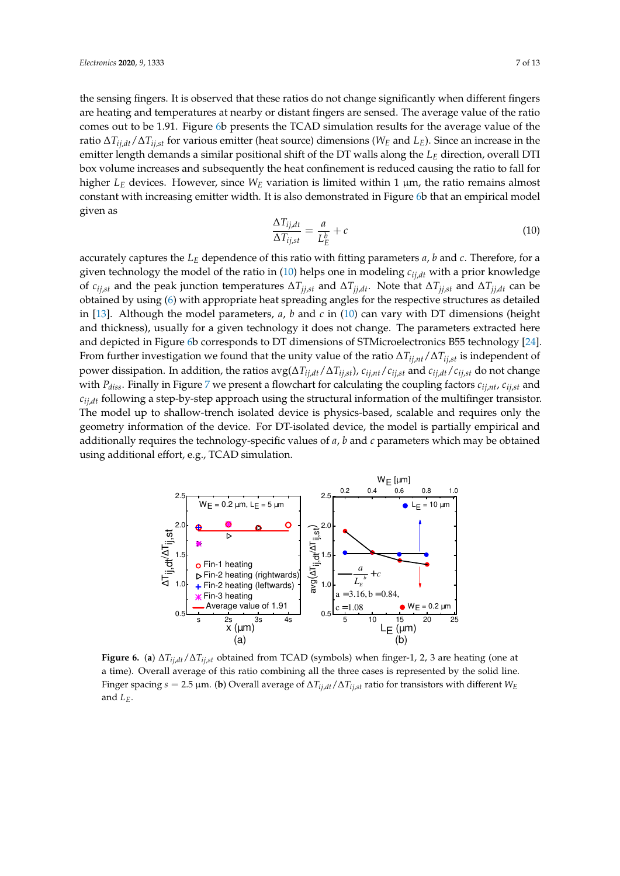the sensing fingers. It is observed that these ratios do not change significantly when different fingers are heating and temperatures at nearby or distant fingers are sensed. The average value of the ratio comes out to be 1.91. Figure 6b presents the TCAD simulation results for the average value of the *ratio*  $\Delta T_{i,j}$   $\Delta T_{i,j}$  for various emitter (heat source) dimensions ( $W_E$  and  $L_E$ ). Since an increase in the emitter length demands a similar positional shift of the DT walls along the *L<sup>E</sup>* direction, overall DTI box volume increases and subsequently the heat confinement is reduced causing the ratio to fall for higher  $L<sub>E</sub>$  devices. However, since  $W<sub>E</sub>$  variation is limited within 1  $\mu$ m, the ratio remains almost constant with increasing emitter width. It is also demonstrated in Figure 6b that an empirical model given as

$$
\frac{\Delta T_{ij,dt}}{\Delta T_{ij,st}} = \frac{a}{L_E^b} + c \tag{10}
$$

accurately captures the *L<sup>E</sup>* dependence of this ratio with fitting parameters *a*, *b* and *c*. Therefore, for a given technology the model of the ratio in  $(10)$  helps one in modeling  $c_{i,i,dt}$  with a prior knowledge of  $c_{ij,st}$  and the peak junction temperatures  $\Delta T_{ij,st}$  and  $\Delta T_{ij,dt}$ . Note that  $\Delta T_{ij,st}$  and  $\Delta T_{ij,dt}$  can be obtained by using (6) with appropriate heat spreading angles for the respective structures as detailed in [13]. Although the model parameters, *a*, *b* and *c* in (10) can vary with DT dimensions (height and thickness), usually for a given technology it does not change. The parameters extracted here and depicted in Figure 6b corresponds to DT dimensions of STMicroelectronics B55 technology [24]. From further investigation we found that the unity value of the ratio ∆*Tij*,*nt*/∆*Tij*,*st* is independent of power dissipation. In addition, the ratios  $avg(\Delta T_{ij,dt}/\Delta T_{ij,st})$ ,  $c_{ij,nt}/c_{ij,st}$  and  $c_{ij,dt}/c_{ij,st}$  do not change with *Pdiss*. Finally in Figure 7 we present a flowchart for calculating the coupling factors *cij*,*nt*, *cij*,*st* and *cij*,*dt* following a step-by-step approach using the structural information of the multifinger transistor. The model up to shallow-trench isolated device is physics-based, scalable and requires only the geometry information of the device. For DT-isolated device, the model is partially empirical and additionally requires the technology-specific values of *a*, *b* and *c* parameters which may be obtained using additional effort, e.g., TCAD simulation.



**Figure 6.** (a)  $\Delta T_{ij,dt}/\Delta T_{ij,st}$  obtained from TCAD (symbols) when finger-1, 2, 3 are heating (one at a time). Overall average of this ratio combining all the three cases is represented by the solid line. Finger spacing  $s = 2.5 \mu m$ . (**b**) Overall average of  $\Delta T_{ij,dt}/\Delta T_{ij,st}$  ratio for transistors with different  $W_E$ and *LE*.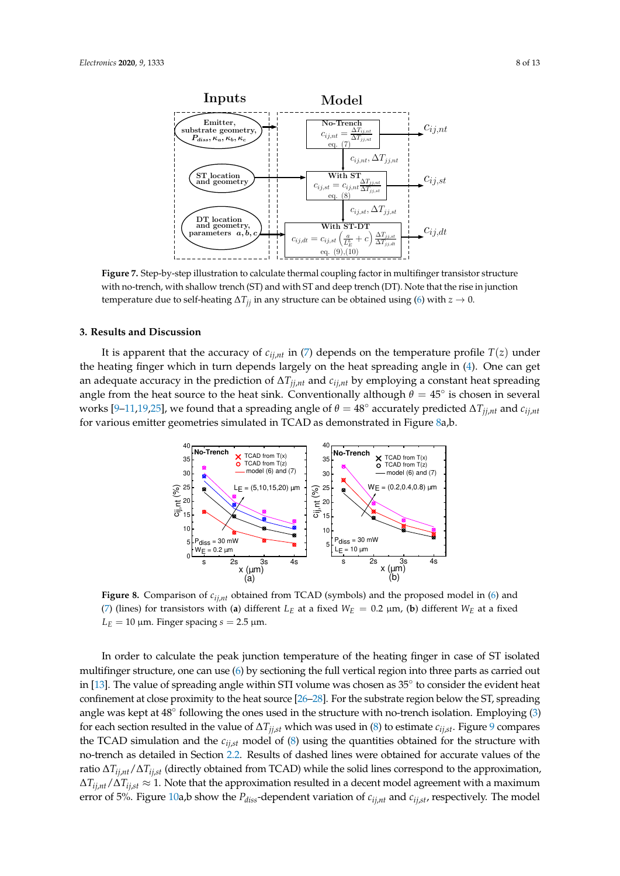

**Figure 7.** Step-by-step illustration to calculate thermal coupling factor in multifinger transistor structure with no-trench, with shallow trench (ST) and with ST and deep trench (DT). Note that the rise in junction temperature due to self-heating  $\Delta T_{jj}$  in any structure can be obtained using (6) with  $z \to 0$ .

#### **3. Results and Discussion**

It is apparent that the accuracy of  $c_{ij,nt}$  in (7) depends on the temperature profile  $T(z)$  under the heating finger which in turn depends largely on the heat spreading angle in (4). One can get an adequate accuracy in the prediction of  $\Delta T_{jint}$  and  $c_{jint}$  by employing a constant heat spreading angle from the heat source to the heat sink. Conventionally although  $\theta = 45^\circ$  is chosen in several works [9–11,19,25], we found that a spreading angle of  $θ = 48°$  accurately predicted  $ΔT_{ij,nt}$  and  $c_{ij,nt}$ for various emitter geometries simulated in TCAD as demonstrated in Figure 8a,b.



Figure 8. Comparison of  $c_{ij,nt}$  obtained from TCAD (symbols) and the proposed model in (6) and (7) (lines) for transistors with (**a**) different  $L<sub>F</sub>$  at a fixed  $W<sub>F</sub> = 0.2 \mu m$ , (**b**) different  $W<sub>F</sub>$  at a fixed  $L_E = 10 \mu m$ . Finger spacing  $s = 2.5 \mu m$ .

In order to calculate the peak junction temperature of the heating finger in case of ST isolated multifinger structure, one can use (6) by sectioning the full vertical region into three parts as carried out in [13]. The value of spreading angle within STI volume was chosen as 35° to consider the evident heat confinement at close proximity to the heat source [26–28]. For the substrate region below the ST, spreading angle was kept at 48° following the ones used in the structure with no-trench isolation. Employing (3) for each section resulted in the value of ∆*Tjj*,*st* which was used in (8) to estimate *cij*,*st*. Figure 9 compares the TCAD simulation and the *cij*,*st* model of (8) using the quantities obtained for the structure with no-trench as detailed in Section 2.2. Results of dashed lines were obtained for accurate values of the ratio ∆*Tij*,*nt*/∆*Tij*,*st* (directly obtained from TCAD) while the solid lines correspond to the approximation, ∆*Tij*,*nt*/∆*Tij*,*st* ≈ 1. Note that the approximation resulted in a decent model agreement with a maximum error of 5%. Figure 10a,b show the *Pdiss*-dependent variation of *cij*,*nt* and *cij*,*st*, respectively. The model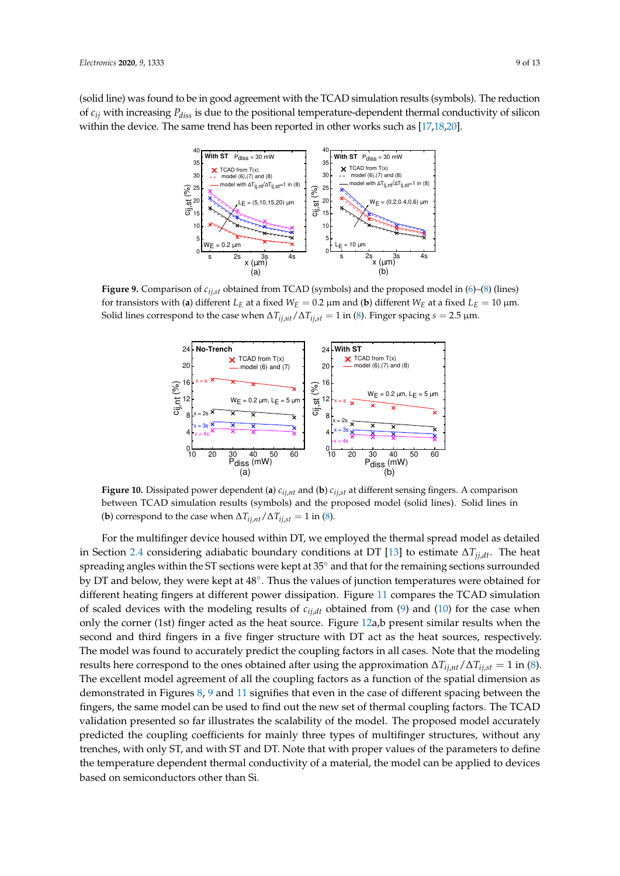(solid line) was found to be in good agreement with the TCAD simulation results (symbols). The reduction of *cij* with increasing *Pdiss* is due to the positional temperature-dependent thermal conductivity of silicon within the device. The same trend has been reported in other works such as [17,18,20].



**Figure 9.** Comparison of *cij*,*st* obtained from TCAD (symbols) and the proposed model in (6)–(8) (lines) for transistors with (a) different  $L_E$  at a fixed  $W_E = 0.2 \mu m$  and (b) different  $W_E$  at a fixed  $L_E = 10 \mu m$ . Solid lines correspond to the case when  $\Delta T_{ij,nt}/\Delta T_{ij,st} = 1$  in (8). Finger spacing *s* = 2.5 μm.



**Figure 10.** Dissipated power dependent (**a**)  $c_{ij,nt}$  and (**b**)  $c_{ij,st}$  at different sensing fingers. A comparison between TCAD simulation results (symbols) and the proposed model (solid lines). Solid lines in (**b**) correspond to the case when  $\Delta T_{ij,nt}/\Delta T_{ij,st} = 1$  in (8).

For the multifinger device housed within DT, we employed the thermal spread model as detailed in Section 2.4 considering adiabatic boundary conditions at DT [13] to estimate ∆*Tjj*,*dt*. The heat spreading angles within the ST sections were kept at 35° and that for the remaining sections surrounded by DT and below, they were kept at 48°. Thus the values of junction temperatures were obtained for different heating fingers at different power dissipation. Figure 11 compares the TCAD simulation of scaled devices with the modeling results of *cij*,*dt* obtained from (9) and (10) for the case when only the corner (1st) finger acted as the heat source. Figure 12a,b present similar results when the second and third fingers in a five finger structure with DT act as the heat sources, respectively. The model was found to accurately predict the coupling factors in all cases. Note that the modeling results here correspond to the ones obtained after using the approximation  $\Delta T_{i,j,nt}/\Delta T_{i,j,st} = 1$  in (8). The excellent model agreement of all the coupling factors as a function of the spatial dimension as demonstrated in Figures 8, 9 and 11 signifies that even in the case of different spacing between the fingers, the same model can be used to find out the new set of thermal coupling factors. The TCAD validation presented so far illustrates the scalability of the model. The proposed model accurately predicted the coupling coefficients for mainly three types of multifinger structures, without any trenches, with only ST, and with ST and DT. Note that with proper values of the parameters to define the temperature dependent thermal conductivity of a material, the model can be applied to devices based on semiconductors other than Si.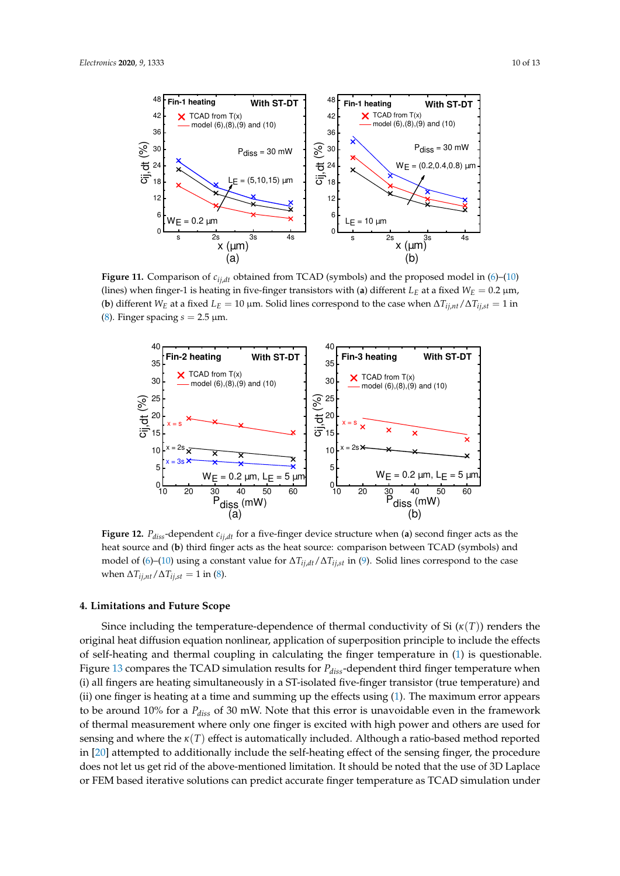

**Figure 11.** Comparison of  $c_{ij,dt}$  obtained from TCAD (symbols) and the proposed model in (6)–(10) (lines) when finger-1 is heating in five-finger transistors with (**a**) different  $L<sub>E</sub>$  at a fixed  $W<sub>E</sub> = 0.2 \mu m$ , (**b**) different *W<sub>E</sub>* at a fixed *L<sub>E</sub>* = 10 μm. Solid lines correspond to the case when  $\Delta T_{ij,nt}/\Delta T_{ij,st} = 1$  in (8). Finger spacing  $s = 2.5 \mu m$ .



**Figure 12.** *Pdiss*-dependent *cij*,*dt* for a five-finger device structure when (**a**) second finger acts as the heat source and (**b**) third finger acts as the heat source: comparison between TCAD (symbols) and model of (6)–(10) using a constant value for  $\Delta T_{ij,dt}/\Delta T_{ij,st}$  in (9). Solid lines correspond to the case when  $\Delta T_{i,jnt}/\Delta T_{i,j} = 1$  in (8).

## **4. Limitations and Future Scope**

Since including the temperature-dependence of thermal conductivity of Si (*κ*(*T*)) renders the original heat diffusion equation nonlinear, application of superposition principle to include the effects of self-heating and thermal coupling in calculating the finger temperature in (1) is questionable. Figure 13 compares the TCAD simulation results for *Pdiss*-dependent third finger temperature when (i) all fingers are heating simultaneously in a ST-isolated five-finger transistor (true temperature) and (ii) one finger is heating at a time and summing up the effects using (1). The maximum error appears to be around 10% for a *Pdiss* of 30 mW. Note that this error is unavoidable even in the framework of thermal measurement where only one finger is excited with high power and others are used for sensing and where the *κ*(*T*) effect is automatically included. Although a ratio-based method reported in [20] attempted to additionally include the self-heating effect of the sensing finger, the procedure does not let us get rid of the above-mentioned limitation. It should be noted that the use of 3D Laplace or FEM based iterative solutions can predict accurate finger temperature as TCAD simulation under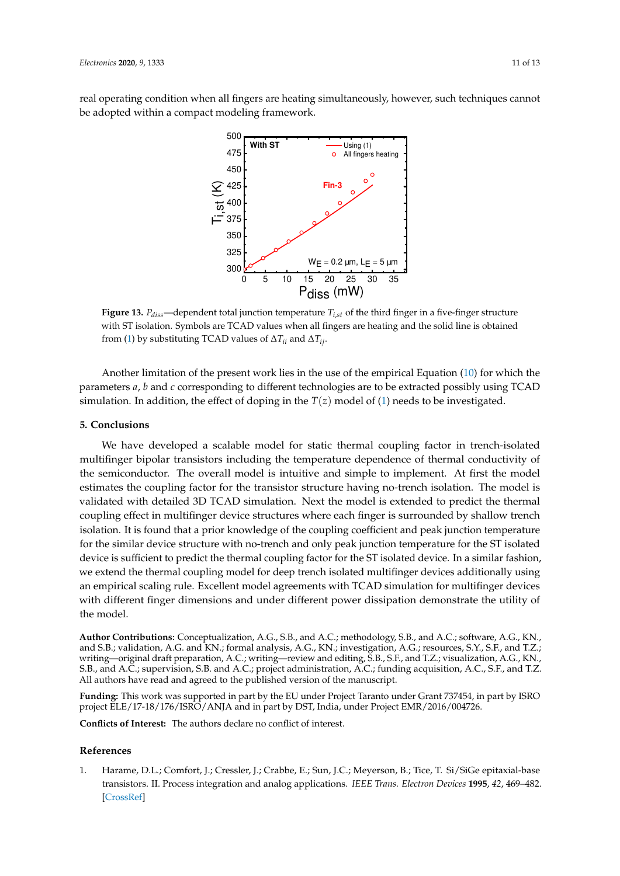real operating condition when all fingers are heating simultaneously, however, such techniques cannot be adopted within a compact modeling framework.



**Figure 13.**  $P_{diss}$ —dependent total junction temperature  $T_{i,st}$  of the third finger in a five-finger structure with ST isolation. Symbols are TCAD values when all fingers are heating and the solid line is obtained from (1) by substituting TCAD values of  $\Delta T_{ii}$  and  $\Delta T_{ij}$ .

Another limitation of the present work lies in the use of the empirical Equation (10) for which the parameters *a*, *b* and *c* corresponding to different technologies are to be extracted possibly using TCAD simulation. In addition, the effect of doping in the  $T(z)$  model of (1) needs to be investigated.

## **5. Conclusions**

We have developed a scalable model for static thermal coupling factor in trench-isolated multifinger bipolar transistors including the temperature dependence of thermal conductivity of the semiconductor. The overall model is intuitive and simple to implement. At first the model estimates the coupling factor for the transistor structure having no-trench isolation. The model is validated with detailed 3D TCAD simulation. Next the model is extended to predict the thermal coupling effect in multifinger device structures where each finger is surrounded by shallow trench isolation. It is found that a prior knowledge of the coupling coefficient and peak junction temperature for the similar device structure with no-trench and only peak junction temperature for the ST isolated device is sufficient to predict the thermal coupling factor for the ST isolated device. In a similar fashion, we extend the thermal coupling model for deep trench isolated multifinger devices additionally using an empirical scaling rule. Excellent model agreements with TCAD simulation for multifinger devices with different finger dimensions and under different power dissipation demonstrate the utility of the model.

**Author Contributions:** Conceptualization, A.G., S.B., and A.C.; methodology, S.B., and A.C.; software, A.G., KN., and S.B.; validation, A.G. and KN.; formal analysis, A.G., KN.; investigation, A.G.; resources, S.Y., S.F., and T.Z.; writing—original draft preparation, A.C.; writing—review and editing, S.B., S.F., and T.Z.; visualization, A.G., KN., S.B., and A.C.; supervision, S.B. and A.C.; project administration, A.C.; funding acquisition, A.C., S.F., and T.Z. All authors have read and agreed to the published version of the manuscript.

**Funding:** This work was supported in part by the EU under Project Taranto under Grant 737454, in part by ISRO project ELE/17-18/176/ISRO/ANJA and in part by DST, India, under Project EMR/2016/004726.

**Conflicts of Interest:** The authors declare no conflict of interest.

#### **References**

1. Harame, D.L.; Comfort, J.; Cressler, J.; Crabbe, E.; Sun, J.C.; Meyerson, B.; Tice, T. Si/SiGe epitaxial-base transistors. II. Process integration and analog applications. *IEEE Trans. Electron Devices* **1995**, *42*, 469–482. [CrossRef]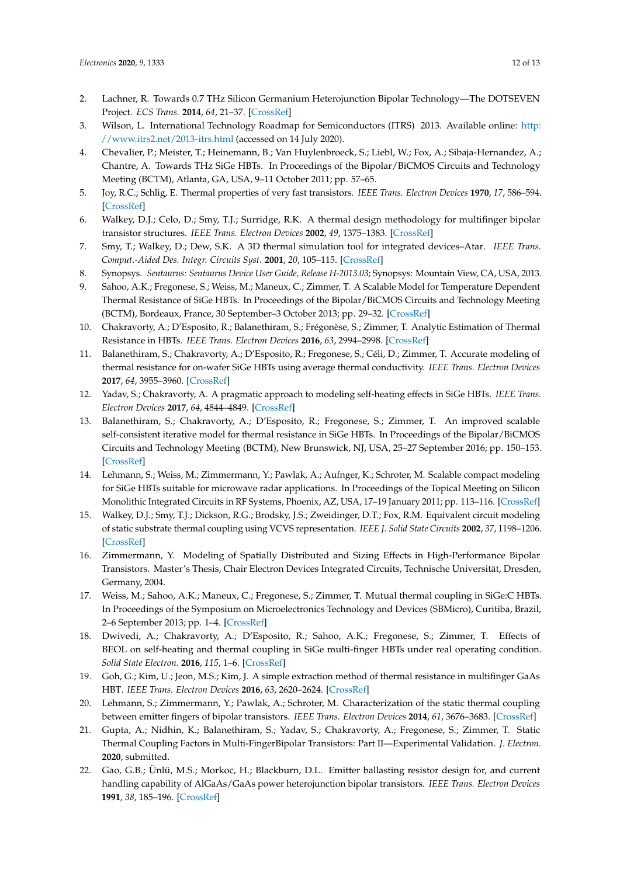- 2. Lachner, R. Towards 0.7 THz Silicon Germanium Heterojunction Bipolar Technology—The DOTSEVEN Project. *ECS Trans.* **2014**, *64*, 21–37. [CrossRef]
- 3. Wilson, L. International Technology Roadmap for Semiconductors (ITRS) 2013. Available online: http: //www.itrs2.net/2013-itrs.html (accessed on 14 July 2020).
- 4. Chevalier, P.; Meister, T.; Heinemann, B.; Van Huylenbroeck, S.; Liebl, W.; Fox, A.; Sibaja-Hernandez, A.; Chantre, A. Towards THz SiGe HBTs. In Proceedings of the Bipolar/BiCMOS Circuits and Technology Meeting (BCTM), Atlanta, GA, USA, 9–11 October 2011; pp. 57–65.
- 5. Joy, R.C.; Schlig, E. Thermal properties of very fast transistors. *IEEE Trans. Electron Devices* **1970**, *17*, 586–594. [CrossRef]
- 6. Walkey, D.J.; Celo, D.; Smy, T.J.; Surridge, R.K. A thermal design methodology for multifinger bipolar transistor structures. *IEEE Trans. Electron Devices* **2002**, *49*, 1375–1383. [CrossRef]
- 7. Smy, T.; Walkey, D.; Dew, S.K. A 3D thermal simulation tool for integrated devices–Atar. *IEEE Trans. Comput.-Aided Des. Integr. Circuits Syst.* **2001**, *20*, 105–115. [CrossRef]
- 8. Synopsys. *Sentaurus: Sentaurus Device User Guide, Release H-2013.03*; Synopsys: Mountain View, CA, USA, 2013.
- 9. Sahoo, A.K.; Fregonese, S.; Weiss, M.; Maneux, C.; Zimmer, T. A Scalable Model for Temperature Dependent Thermal Resistance of SiGe HBTs. In Proceedings of the Bipolar/BiCMOS Circuits and Technology Meeting (BCTM), Bordeaux, France, 30 September–3 October 2013; pp. 29–32. [CrossRef]
- 10. Chakravorty, A.; D'Esposito, R.; Balanethiram, S.; Frégonèse, S.; Zimmer, T. Analytic Estimation of Thermal Resistance in HBTs. *IEEE Trans. Electron Devices* **2016**, *63*, 2994–2998. [CrossRef]
- 11. Balanethiram, S.; Chakravorty, A.; D'Esposito, R.; Fregonese, S.; Céli, D.; Zimmer, T. Accurate modeling of thermal resistance for on-wafer SiGe HBTs using average thermal conductivity. *IEEE Trans. Electron Devices* **2017**, *64*, 3955–3960. [CrossRef]
- 12. Yadav, S.; Chakravorty, A. A pragmatic approach to modeling self-heating effects in SiGe HBTs. *IEEE Trans. Electron Devices* **2017**, *64*, 4844–4849. [CrossRef]
- 13. Balanethiram, S.; Chakravorty, A.; D'Esposito, R.; Fregonese, S.; Zimmer, T. An improved scalable self-consistent iterative model for thermal resistance in SiGe HBTs. In Proceedings of the Bipolar/BiCMOS Circuits and Technology Meeting (BCTM), New Brunswick, NJ, USA, 25–27 September 2016; pp. 150–153. [CrossRef]
- 14. Lehmann, S.; Weiss, M.; Zimmermann, Y.; Pawlak, A.; Aufnger, K.; Schroter, M. Scalable compact modeling for SiGe HBTs suitable for microwave radar applications. In Proceedings of the Topical Meeting on Silicon Monolithic Integrated Circuits in RF Systems, Phoenix, AZ, USA, 17–19 January 2011; pp. 113–116. [CrossRef]
- 15. Walkey, D.J.; Smy, T.J.; Dickson, R.G.; Brodsky, J.S.; Zweidinger, D.T.; Fox, R.M. Equivalent circuit modeling of static substrate thermal coupling using VCVS representation. *IEEE J. Solid State Circuits* **2002**, *37*, 1198–1206. [CrossRef]
- 16. Zimmermann, Y. Modeling of Spatially Distributed and Sizing Effects in High-Performance Bipolar Transistors. Master's Thesis, Chair Electron Devices Integrated Circuits, Technische Universität, Dresden, Germany, 2004.
- 17. Weiss, M.; Sahoo, A.K.; Maneux, C.; Fregonese, S.; Zimmer, T. Mutual thermal coupling in SiGe:C HBTs. In Proceedings of the Symposium on Microelectronics Technology and Devices (SBMicro), Curitiba, Brazil, 2–6 September 2013; pp. 1–4. [CrossRef]
- 18. Dwivedi, A.; Chakravorty, A.; D'Esposito, R.; Sahoo, A.K.; Fregonese, S.; Zimmer, T. Effects of BEOL on self-heating and thermal coupling in SiGe multi-finger HBTs under real operating condition. *Solid State Electron.* **2016**, *115*, 1–6. [CrossRef]
- 19. Goh, G.; Kim, U.; Jeon, M.S.; Kim, J. A simple extraction method of thermal resistance in multifinger GaAs HBT. *IEEE Trans. Electron Devices* **2016**, *63*, 2620–2624. [CrossRef]
- 20. Lehmann, S.; Zimmermann, Y.; Pawlak, A.; Schroter, M. Characterization of the static thermal coupling between emitter fingers of bipolar transistors. *IEEE Trans. Electron Devices* **2014**, *61*, 3676–3683. [CrossRef]
- 21. Gupta, A.; Nidhin, K.; Balanethiram, S.; Yadav, S.; Chakravorty, A.; Fregonese, S.; Zimmer, T. Static Thermal Coupling Factors in Multi-FingerBipolar Transistors: Part II—Experimental Validation. *J. Electron.* **2020**, submitted.
- 22. Gao, G.B.; Ünlü, M.S.; Morkoc, H.; Blackburn, D.L. Emitter ballasting resistor design for, and current handling capability of AlGaAs/GaAs power heterojunction bipolar transistors. *IEEE Trans. Electron Devices* **1991**, *38*, 185–196. [CrossRef]